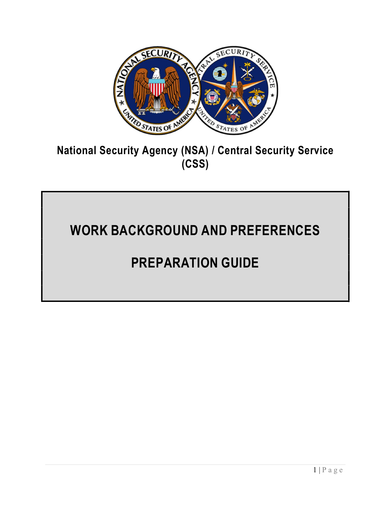

### National Security Agency (NSA) / Central Security Service (CSS)

# WORK BACKGROUND AND PREFERENCES

## PREPARATION GUIDE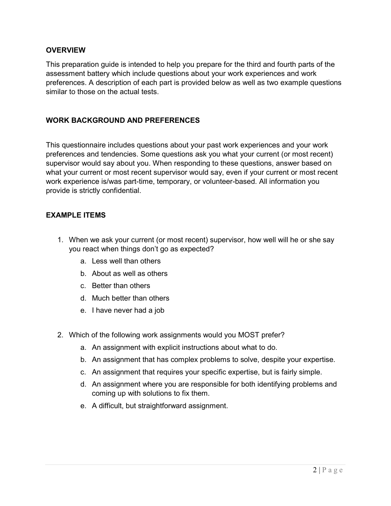#### **OVERVIEW**

This preparation guide is intended to help you prepare for the third and fourth parts of the assessment battery which include questions about your work experiences and work preferences. A description of each part is provided below as well as two example questions similar to those on the actual tests.

#### WORK BACKGROUND AND PREFERENCES

This questionnaire includes questions about your past work experiences and your work preferences and tendencies. Some questions ask you what your current (or most recent) supervisor would say about you. When responding to these questions, answer based on what your current or most recent supervisor would say, even if your current or most recent work experience is/was part-time, temporary, or volunteer-based. All information you provide is strictly confidential.

#### EXAMPLE ITEMS

- 1. When we ask your current (or most recent) supervisor, how well will he or she say you react when things don't go as expected?
	- a. Less well than others
	- b. About as well as others
	- c. Better than others
	- d. Much better than others
	- e. I have never had a job
- 2. Which of the following work assignments would you MOST prefer?
	- a. An assignment with explicit instructions about what to do.
	- b. An assignment that has complex problems to solve, despite your expertise.
	- c. An assignment that requires your specific expertise, but is fairly simple.
	- d. An assignment where you are responsible for both identifying problems and coming up with solutions to fix them.
	- e. A difficult, but straightforward assignment.